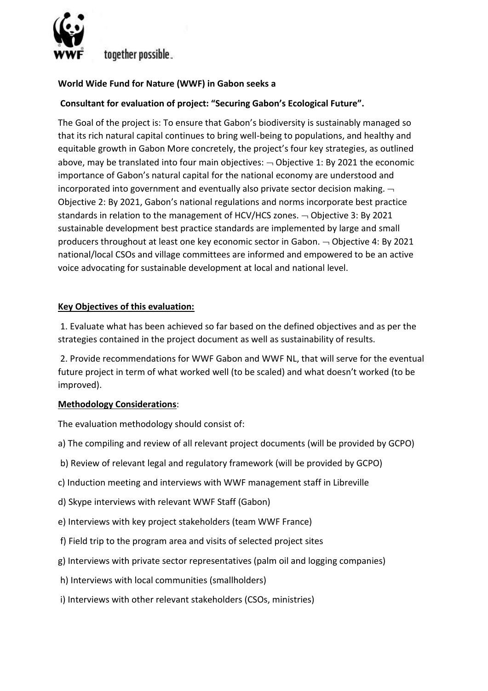

# together possible.

## **World Wide Fund for Nature (WWF) in Gabon seeks a**

## **Consultant for evaluation of project: "Securing Gabon's Ecological Future".**

The Goal of the project is: To ensure that Gabon's biodiversity is sustainably managed so that its rich natural capital continues to bring well-being to populations, and healthy and equitable growth in Gabon More concretely, the project's four key strategies, as outlined above, may be translated into four main objectives:  $\overline{\phantom{a}}$  Objective 1: By 2021 the economic importance of Gabon's natural capital for the national economy are understood and incorporated into government and eventually also private sector decision making.  $\lnot$ Objective 2: By 2021, Gabon's national regulations and norms incorporate best practice standards in relation to the management of HCV/HCS zones.  $\neg$  Objective 3: By 2021 sustainable development best practice standards are implemented by large and small producers throughout at least one key economic sector in Gabon.  $\neg$  Objective 4: By 2021 national/local CSOs and village committees are informed and empowered to be an active voice advocating for sustainable development at local and national level.

### **Key Objectives of this evaluation:**

1. Evaluate what has been achieved so far based on the defined objectives and as per the strategies contained in the project document as well as sustainability of results.

2. Provide recommendations for WWF Gabon and WWF NL, that will serve for the eventual future project in term of what worked well (to be scaled) and what doesn't worked (to be improved).

#### **Methodology Considerations**:

The evaluation methodology should consist of:

- a) The compiling and review of all relevant project documents (will be provided by GCPO)
- b) Review of relevant legal and regulatory framework (will be provided by GCPO)
- c) Induction meeting and interviews with WWF management staff in Libreville
- d) Skype interviews with relevant WWF Staff (Gabon)
- e) Interviews with key project stakeholders (team WWF France)
- f) Field trip to the program area and visits of selected project sites
- g) Interviews with private sector representatives (palm oil and logging companies)
- h) Interviews with local communities (smallholders)
- i) Interviews with other relevant stakeholders (CSOs, ministries)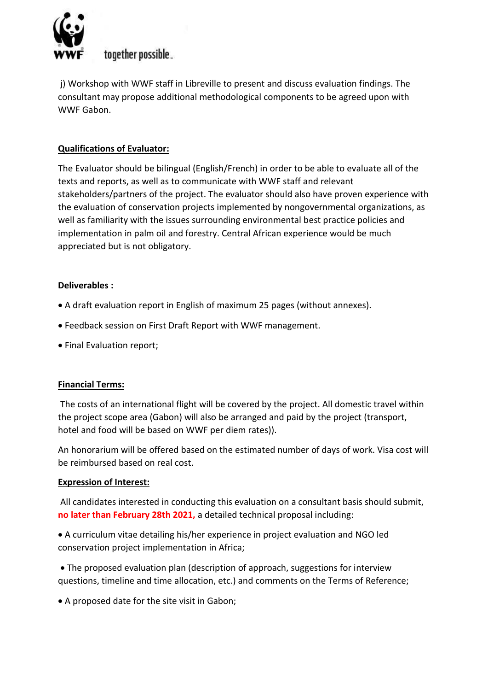

# together possible.

j) Workshop with WWF staff in Libreville to present and discuss evaluation findings. The consultant may propose additional methodological components to be agreed upon with WWF Gabon.

## **Qualifications of Evaluator:**

The Evaluator should be bilingual (English/French) in order to be able to evaluate all of the texts and reports, as well as to communicate with WWF staff and relevant stakeholders/partners of the project. The evaluator should also have proven experience with the evaluation of conservation projects implemented by nongovernmental organizations, as well as familiarity with the issues surrounding environmental best practice policies and implementation in palm oil and forestry. Central African experience would be much appreciated but is not obligatory.

### **Deliverables :**

- A draft evaluation report in English of maximum 25 pages (without annexes).
- Feedback session on First Draft Report with WWF management.
- Final Evaluation report;

### **Financial Terms:**

The costs of an international flight will be covered by the project. All domestic travel within the project scope area (Gabon) will also be arranged and paid by the project (transport, hotel and food will be based on WWF per diem rates)).

An honorarium will be offered based on the estimated number of days of work. Visa cost will be reimbursed based on real cost.

### **Expression of Interest:**

All candidates interested in conducting this evaluation on a consultant basis should submit, **no later than February 28th 2021,** a detailed technical proposal including:

 A curriculum vitae detailing his/her experience in project evaluation and NGO led conservation project implementation in Africa;

 The proposed evaluation plan (description of approach, suggestions for interview questions, timeline and time allocation, etc.) and comments on the Terms of Reference;

A proposed date for the site visit in Gabon;